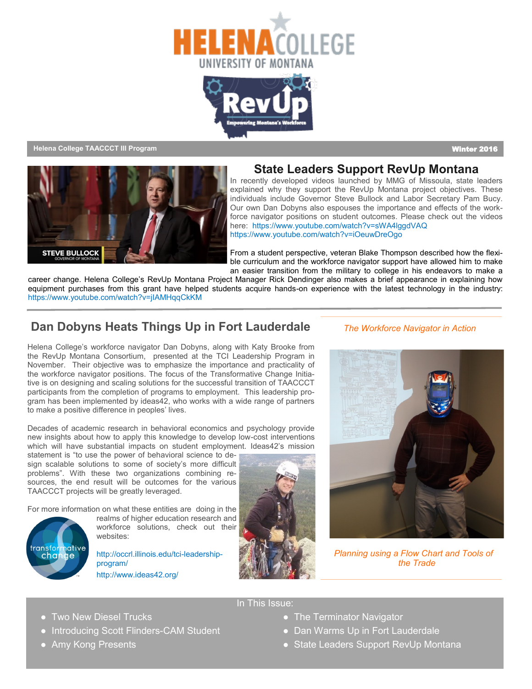



**Helena College TAACCCT III Program** Winter 2016



#### **State Leaders Support RevUp Montana**

In recently developed videos launched by MMG of Missoula, state leaders explained why they support the RevUp Montana project objectives. These individuals include Governor Steve Bullock and Labor Secretary Pam Bucy. Our own Dan Dobyns also espouses the importance and effects of the workforce navigator positions on student outcomes. Please check out the videos here: https://www.youtube.com/watch?v=sWA4lggdVAQ https://www.youtube.com/watch?v=iOeuwDreOgo

From a student perspective, veteran Blake Thompson described how the flexible curriculum and the workforce navigator support have allowed him to make an easier transition from the military to college in his endeavors to make a

career change. Helena College's RevUp Montana Project Manager Rick Dendinger also makes a brief appearance in explaining how equipment purchases from this grant have helped students acquire hands-on experience with the latest technology in the industry: https://www.youtube.com/watch?v=jIAMHqqCkKM

#### **Dan Dobyns Heats Things Up in Fort Lauderdale**

Helena College's workforce navigator Dan Dobyns, along with Katy Brooke from the RevUp Montana Consortium, presented at the TCI Leadership Program in November. Their objective was to emphasize the importance and practicality of the workforce navigator positions. The focus of the Transformative Change Initiative is on designing and scaling solutions for the successful transition of TAACCCT participants from the completion of programs to employment. This leadership program has been implemented by ideas42, who works with a wide range of partners to make a positive difference in peoples' lives.

Decades of academic research in behavioral economics and psychology provide new insights about how to apply this knowledge to develop low-cost interventions which will have substantial impacts on student employment. Ideas42's mission statement is "to use the power of behavioral science to de-

sign scalable solutions to some of society's more difficult problems". With these two organizations combining resources, the end result will be outcomes for the various TAACCCT projects will be greatly leveraged.

For more information on what these entities are doing in the

transformative change

realms of higher education research and workforce solutions, check out their websites:

http://occrl.illinois.edu/tci-leadershipprogram/ http://www.ideas42.org/



In This Issue:

#### *The Workforce Navigator in Action*



 *Planning using a Flow Chart and Tools of the Trade*

- 
- 
- Two New Diesel Trucks and The Terminator Navigator
- Introducing Scott Flinders-CAM Student Dan Warms Up in Fort Lauderdale
	- Amy Kong Presents **Amy Kong Presents Amy Kong Presents Amy Kong Presents State Leaders Support RevUp Montana**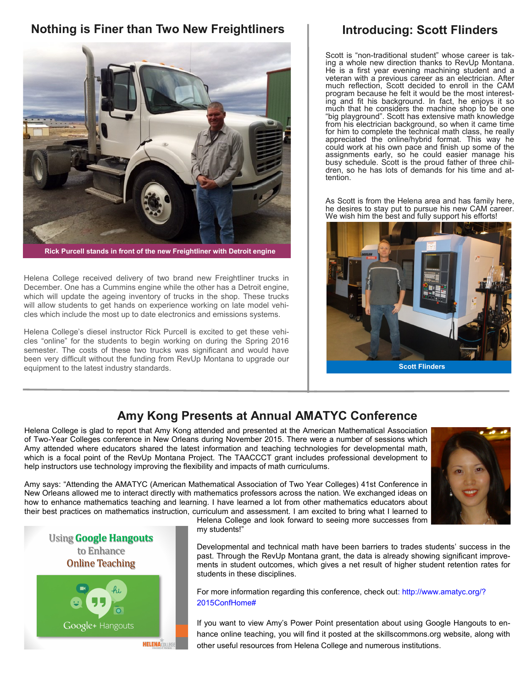## **Nothing is Finer than Two New Freightliners**



**Rick Purcell stands in front of the new Freightliner with Detroit engine**

Helena College received delivery of two brand new Freightliner trucks in December. One has a Cummins engine while the other has a Detroit engine, which will update the ageing inventory of trucks in the shop. These trucks will allow students to get hands on experience working on late model vehicles which include the most up to date electronics and emissions systems.

Helena College's diesel instructor Rick Purcell is excited to get these vehicles "online" for the students to begin working on during the Spring 2016 semester. The costs of these two trucks was significant and would have been very difficult without the funding from RevUp Montana to upgrade our equipment to the latest industry standards. **Scott Flinders**

## **Introducing: Scott Flinders**

Scott is "non-traditional student" whose career is taking a whole new direction thanks to RevUp Montana. He is a first year evening machining student and a veteran with a previous career as an electrician. After much reflection, Scott decided to enroll in the CAM program because he felt it would be the most interesting and fit his background. In fact, he enjoys it so much that he considers the machine shop to be one "big playground". Scott has extensive math knowledge from his electrician background, so when it came time for him to complete the technical math class, he really appreciated the online/hybrid format. This way he could work at his own pace and finish up some of the assignments early, so he could easier manage his busy schedule. Scott is the proud father of three children, so he has lots of demands for his time and attention.

As Scott is from the Helena area and has family here, he desires to stay put to pursue his new CAM career. We wish him the best and fully support his efforts!



# **Amy Kong Presents at Annual AMATYC Conference**

Helena College is glad to report that Amy Kong attended and presented at the American Mathematical Association of Two-Year Colleges conference in New Orleans during November 2015. There were a number of sessions which Amy attended where educators shared the latest information and teaching technologies for developmental math, which is a focal point of the RevUp Montana Project. The TAACCCT grant includes professional development to help instructors use technology improving the flexibility and impacts of math curriculums.

Amy says: "Attending the AMATYC (American Mathematical Association of Two Year Colleges) 41st Conference in New Orleans allowed me to interact directly with mathematics professors across the nation. We exchanged ideas on how to enhance mathematics teaching and learning. I have learned a lot from other mathematics educators about their best practices on mathematics instruction, curriculum and assessment. I am excited to bring what I learned to

Helena College and look forward to seeing more successes from my students!"

Developmental and technical math have been barriers to trades students' success in the past. Through the RevUp Montana grant, the data is already showing significant improvements in student outcomes, which gives a net result of higher student retention rates for students in these disciplines.

For more information regarding this conference, check out: http://www.amatyc.org/? 2015ConfHome#

If you want to view Amy's Power Point presentation about using Google Hangouts to enhance online teaching, you will find it posted at the skillscommons.org website, along with other useful resources from Helena College and numerous institutions.



**HELENACOLLEGI**